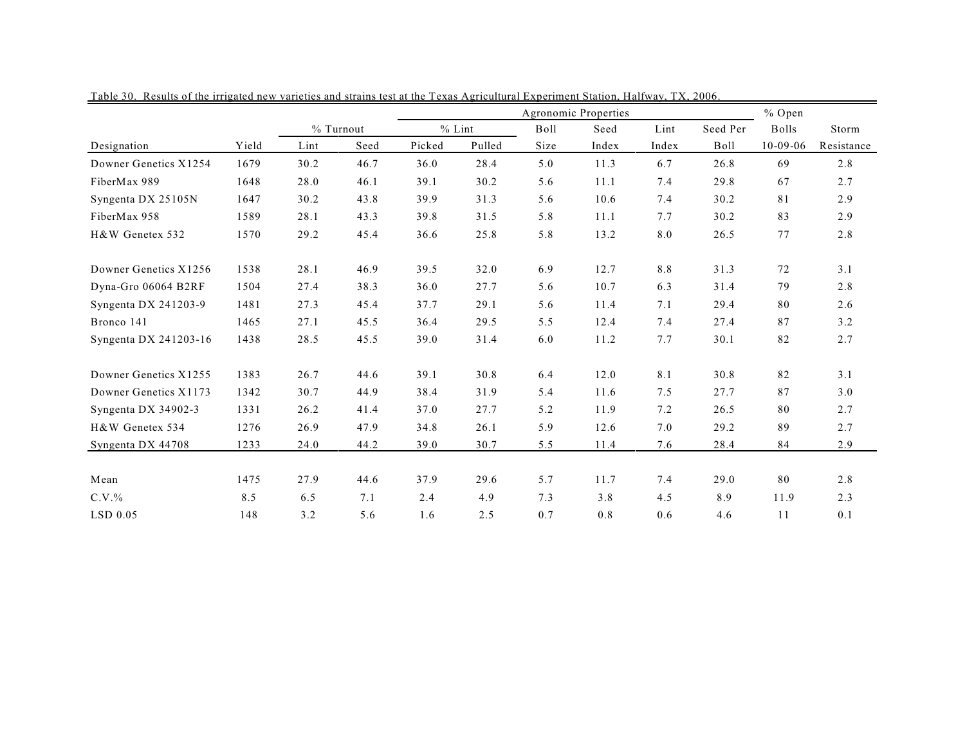|                       |       |      |           |          |        |      | Agronomic Properties |       | % Open      |                |            |  |
|-----------------------|-------|------|-----------|----------|--------|------|----------------------|-------|-------------|----------------|------------|--|
|                       |       |      | % Turnout | $%$ Lint |        | Boll | Seed                 | Lint  | Seed Per    | <b>Bolls</b>   | Storm      |  |
| Designation           | Yield | Lint | Seed      | Picked   | Pulled | Size | Index                | Index | <b>Boll</b> | $10 - 09 - 06$ | Resistance |  |
| Downer Genetics X1254 | 1679  | 30.2 | 46.7      | 36.0     | 28.4   | 5.0  | 11.3                 | 6.7   | 26.8        | 69             | 2.8        |  |
| FiberMax 989          | 1648  | 28.0 | 46.1      | 39.1     | 30.2   | 5.6  | 11.1                 | 7.4   | 29.8        | 67             | 2.7        |  |
| Syngenta DX 25105N    | 1647  | 30.2 | 43.8      | 39.9     | 31.3   | 5.6  | 10.6                 | 7.4   | 30.2        | 81             | 2.9        |  |
| FiberMax 958          | 1589  | 28.1 | 43.3      | 39.8     | 31.5   | 5.8  | 11.1                 | 7.7   | 30.2        | 83             | 2.9        |  |
| H&W Genetex 532       | 1570  | 29.2 | 45.4      | 36.6     | 25.8   | 5.8  | 13.2                 | 8.0   | 26.5        | $77 \,$        | 2.8        |  |
| Downer Genetics X1256 | 1538  | 28.1 | 46.9      | 39.5     | 32.0   | 6.9  | 12.7                 | 8.8   | 31.3        | 72             | 3.1        |  |
| Dyna-Gro 06064 B2RF   | 1504  | 27.4 | 38.3      | 36.0     | 27.7   | 5.6  | 10.7                 | 6.3   | 31.4        | 79             | 2.8        |  |
| Syngenta DX 241203-9  | 1481  | 27.3 | 45.4      | 37.7     | 29.1   | 5.6  | 11.4                 | 7.1   | 29.4        | 80             | 2.6        |  |
| Bronco 141            | 1465  | 27.1 | 45.5      | 36.4     | 29.5   | 5.5  | 12.4                 | 7.4   | 27.4        | 87             | 3.2        |  |
| Syngenta DX 241203-16 | 1438  | 28.5 | 45.5      | 39.0     | 31.4   | 6.0  | 11.2                 | 7.7   | 30.1        | 82             | 2.7        |  |
| Downer Genetics X1255 | 1383  | 26.7 | 44.6      | 39.1     | 30.8   | 6.4  | 12.0                 | 8.1   | 30.8        | 82             | 3.1        |  |
| Downer Genetics X1173 | 1342  | 30.7 | 44.9      | 38.4     | 31.9   | 5.4  | 11.6                 | 7.5   | 27.7        | 87             | 3.0        |  |
| Syngenta DX 34902-3   | 1331  | 26.2 | 41.4      | 37.0     | 27.7   | 5.2  | 11.9                 | 7.2   | 26.5        | 80             | 2.7        |  |
| H&W Genetex 534       | 1276  | 26.9 | 47.9      | 34.8     | 26.1   | 5.9  | 12.6                 | 7.0   | 29.2        | 89             | 2.7        |  |
| Syngenta DX 44708     | 1233  | 24.0 | 44.2      | 39.0     | 30.7   | 5.5  | 11.4                 | 7.6   | 28.4        | 84             | 2.9        |  |
| Mean                  | 1475  | 27.9 | 44.6      | 37.9     | 29.6   | 5.7  | 11.7                 | 7.4   | 29.0        | 80             | 2.8        |  |
| $C.V.$ %              | 8.5   | 6.5  | 7.1       | 2.4      | 4.9    | 7.3  | 3.8                  | 4.5   | 8.9         | 11.9           | 2.3        |  |
| $LSD$ 0.05            | 148   | 3.2  | 5.6       | 1.6      | 2.5    | 0.7  | 0.8                  | 0.6   | 4.6         | 11             | 0.1        |  |

Table 30. Results of the irrigated new varieties and strains test at the Texas Agricultural Experiment Station, Halfway, TX, 2006.